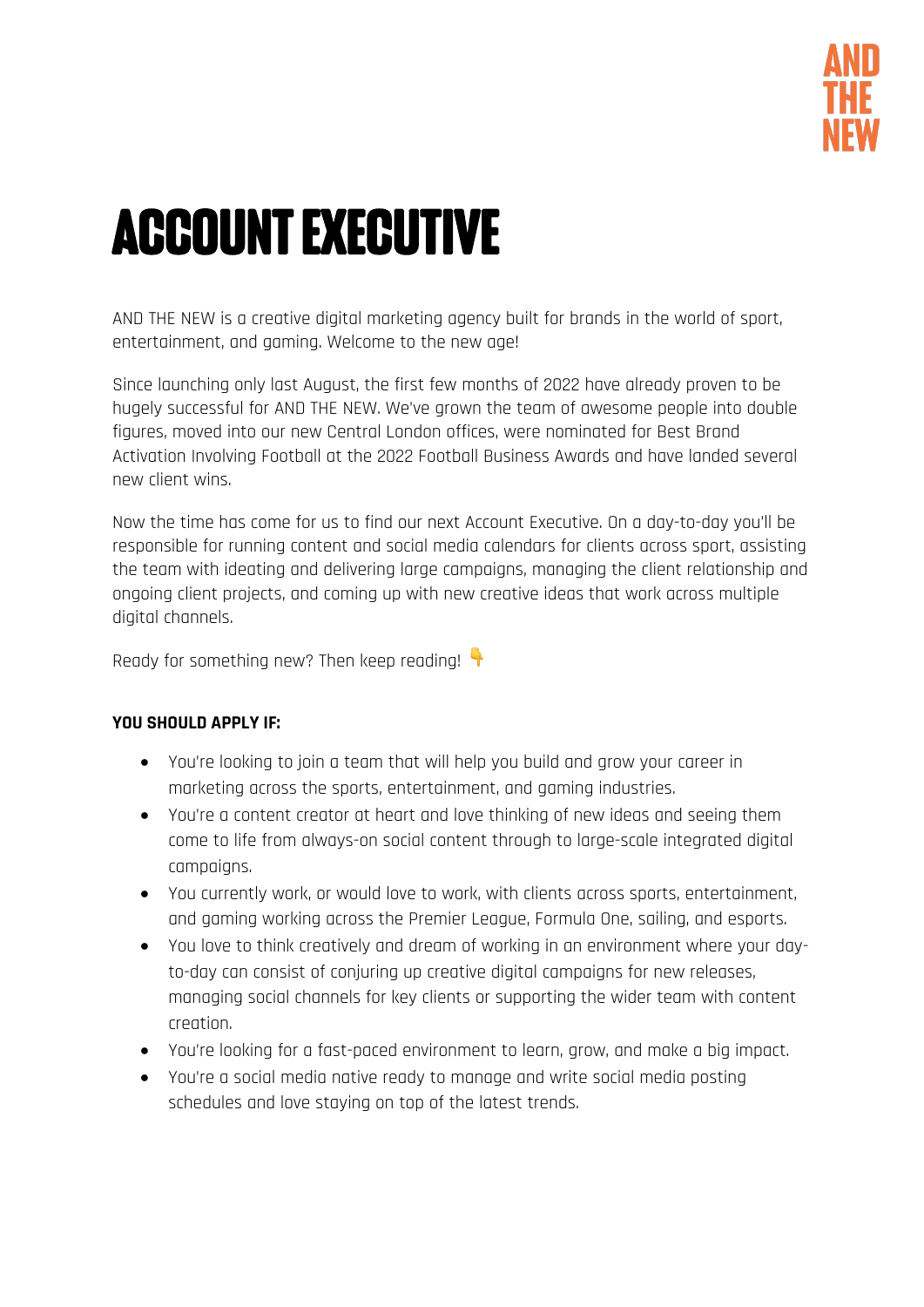

# ACCOUNT EXECUTIVE

AND THE NEW is a creative digital marketing agency built for brands in the world of sport, entertainment, and gaming. Welcome to the new age!

Since launching only last August, the first few months of 2022 have already proven to be hugely successful for AND THE NEW. We've grown the team of awesome people into double figures, moved into our new Central London offices, were nominated for Best Brand Activation Involving Football at the 2022 Football Business Awards and have landed several new client wins.

Now the time has come for us to find our next Account Executive. On a day-to-day you'll be responsible for running content and social media calendars for clients across sport, assisting the team with ideating and delivering large campaigns, managing the client relationship and ongoing client projects, and coming up with new creative ideas that work across multiple digital channels.

Ready for something new? Then keep reading!

## **YOU SHOULD APPLY IF:**

- You're looking to join a team that will help you build and grow your career in marketing across the sports, entertainment, and gaming industries.
- You're a content creator at heart and love thinking of new ideas and seeing them come to life from always-on social content through to large-scale integrated digital campaigns.
- You currently work, or would love to work, with clients across sports, entertainment, and gaming working across the Premier League, Formula One, sailing, and esports.
- You love to think creatively and dream of working in an environment where your dayto-day can consist of conjuring up creative digital campaigns for new releases, managing social channels for key clients or supporting the wider team with content creation.
- You're looking for a fast-paced environment to learn, grow, and make a big impact.
- You're a social media native ready to manage and write social media posting schedules and love staying on top of the latest trends.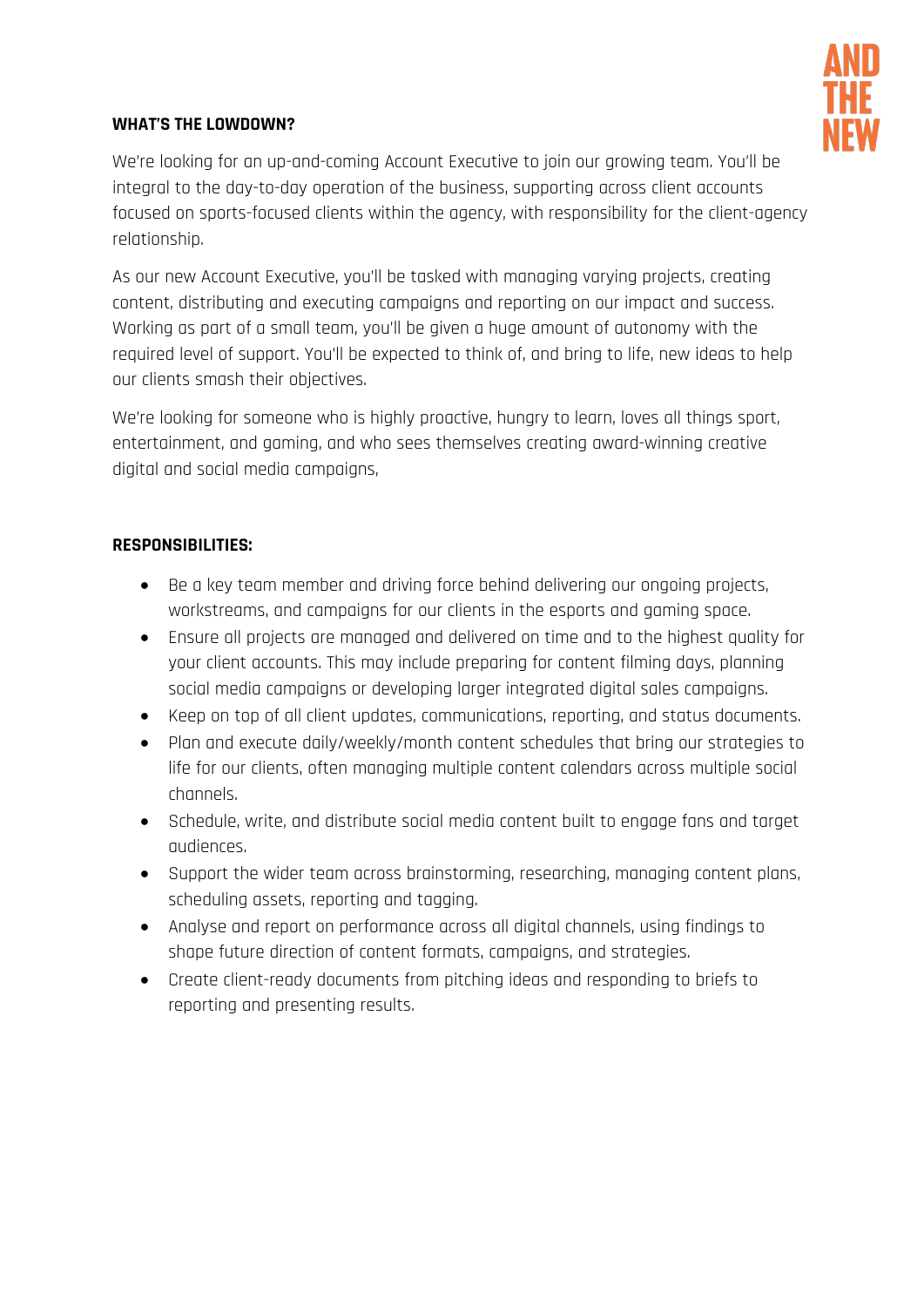

## **WHAT'S THE LOWDOWN?**

We're looking for an up-and-coming Account Executive to join our growing team. You'll be integral to the day-to-day operation of the business, supporting across client accounts focused on sports-focused clients within the agency, with responsibility for the client-agency relationship.

As our new Account Executive, you'll be tasked with managing varying projects, creating content, distributing and executing campaigns and reporting on our impact and success. Working as part of a small team, you'll be given a huge amount of autonomy with the required level of support. You'll be expected to think of, and bring to life, new ideas to help our clients smash their objectives.

We're looking for someone who is highly proactive, hungry to learn, loves all things sport, entertainment, and gaming, and who sees themselves creating award-winning creative digital and social media campaigns,

## **RESPONSIBILITIES:**

- Be a key team member and driving force behind delivering our ongoing projects, workstreams, and campaigns for our clients in the esports and gaming space.
- Ensure all projects are managed and delivered on time and to the highest quality for your client accounts. This may include preparing for content filming days, planning social media campaigns or developing larger integrated digital sales campaigns.
- Keep on top of all client updates, communications, reporting, and status documents.
- Plan and execute daily/weekly/month content schedules that bring our strategies to life for our clients, often managing multiple content calendars across multiple social channels.
- Schedule, write, and distribute social media content built to engage fans and target audiences.
- Support the wider team across brainstorming, researching, managing content plans, scheduling assets, reporting and tagging.
- Analyse and report on performance across all digital channels, using findings to shape future direction of content formats, campaigns, and strategies.
- Create client-ready documents from pitching ideas and responding to briefs to reporting and presenting results.